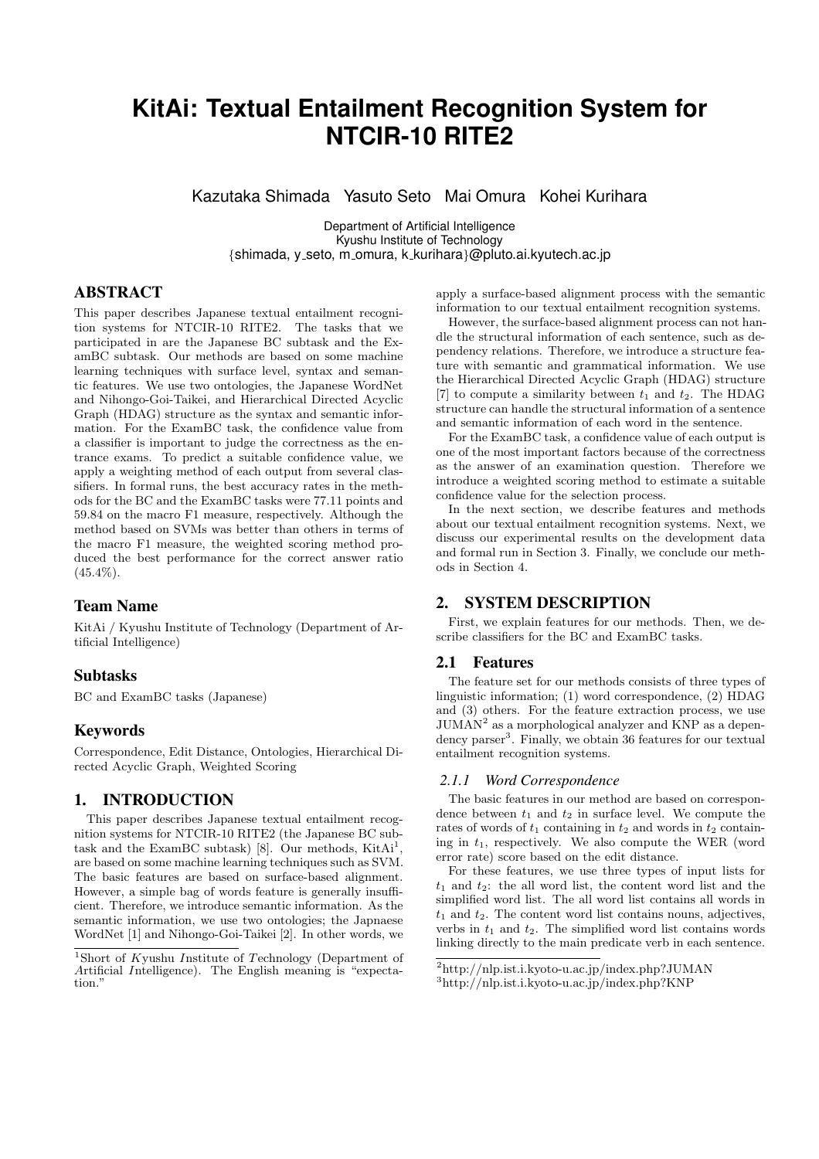# **KitAi: Textual Entailment Recognition System for NTCIR-10 RITE2**

Kazutaka Shimada Yasuto Seto Mai Omura Kohei Kurihara

Department of Artificial Intelligence Kyushu Institute of Technology *{*shimada, y seto, m omura, k kurihara*}*@pluto.ai.kyutech.ac.jp

# ABSTRACT

This paper describes Japanese textual entailment recognition systems for NTCIR-10 RITE2. The tasks that we participated in are the Japanese BC subtask and the ExamBC subtask. Our methods are based on some machine learning techniques with surface level, syntax and semantic features. We use two ontologies, the Japanese WordNet and Nihongo-Goi-Taikei, and Hierarchical Directed Acyclic Graph (HDAG) structure as the syntax and semantic information. For the ExamBC task, the confidence value from a classifier is important to judge the correctness as the entrance exams. To predict a suitable confidence value, we apply a weighting method of each output from several classifiers. In formal runs, the best accuracy rates in the methods for the BC and the ExamBC tasks were 77.11 points and 59.84 on the macro F1 measure, respectively. Although the method based on SVMs was better than others in terms of the macro F1 measure, the weighted scoring method produced the best performance for the correct answer ratio  $(45.4\%).$ 

## Team Name

KitAi / Kyushu Institute of Technology (Department of Artificial Intelligence)

## Subtasks

BC and ExamBC tasks (Japanese)

## Keywords

Correspondence, Edit Distance, Ontologies, Hierarchical Directed Acyclic Graph, Weighted Scoring

## 1. INTRODUCTION

This paper describes Japanese textual entailment recognition systems for NTCIR-10 RITE2 (the Japanese BC subtask and the ExamBC subtask) [8]. Our methods,  $KitAi<sup>1</sup>$ , are based on some machine learning techniques such as SVM. The basic features are based on surface-based alignment. However, a simple bag of words feature is generally insufficient. Therefore, we introduce semantic information. As the semantic information, we use two ontologies; the Japnaese WordNet [1] and Nihongo-Goi-Taikei [2]. In other words, we apply a surface-based alignment process with the semantic information to our textual entailment recognition systems.

However, the surface-based alignment process can not handle the structural information of each sentence, such as dependency relations. Therefore, we introduce a structure feature with semantic and grammatical information. We use the Hierarchical Directed Acyclic Graph (HDAG) structure [7] to compute a similarity between  $t_1$  and  $t_2$ . The HDAG structure can handle the structural information of a sentence and semantic information of each word in the sentence.

For the ExamBC task, a confidence value of each output is one of the most important factors because of the correctness as the answer of an examination question. Therefore we introduce a weighted scoring method to estimate a suitable confidence value for the selection process.

In the next section, we describe features and methods about our textual entailment recognition systems. Next, we discuss our experimental results on the development data and formal run in Section 3. Finally, we conclude our methods in Section 4.

# 2. SYSTEM DESCRIPTION

First, we explain features for our methods. Then, we describe classifiers for the BC and ExamBC tasks.

## 2.1 Features

The feature set for our methods consists of three types of linguistic information; (1) word correspondence, (2) HDAG and (3) others. For the feature extraction process, we use  $JUMAN<sup>2</sup>$  as a morphological analyzer and KNP as a dependency parser<sup>3</sup>. Finally, we obtain 36 features for our textual entailment recognition systems.

## *2.1.1 Word Correspondence*

The basic features in our method are based on correspondence between  $t_1$  and  $t_2$  in surface level. We compute the rates of words of  $t_1$  containing in  $t_2$  and words in  $t_2$  containing in  $t_1$ , respectively. We also compute the WER (word error rate) score based on the edit distance.

For these features, we use three types of input lists for  $t_1$  and  $t_2$ : the all word list, the content word list and the simplified word list. The all word list contains all words in  $t_1$  and  $t_2$ . The content word list contains nouns, adjectives, verbs in  $t_1$  and  $t_2$ . The simplified word list contains words linking directly to the main predicate verb in each sentence.

<sup>1</sup>Short of *K*yushu *I*nstitute of *T*echnology (Department of *A*rtificial *I*ntelligence). The English meaning is "expectation.'

<sup>2</sup>http://nlp.ist.i.kyoto-u.ac.jp/index.php?JUMAN

<sup>3</sup>http://nlp.ist.i.kyoto-u.ac.jp/index.php?KNP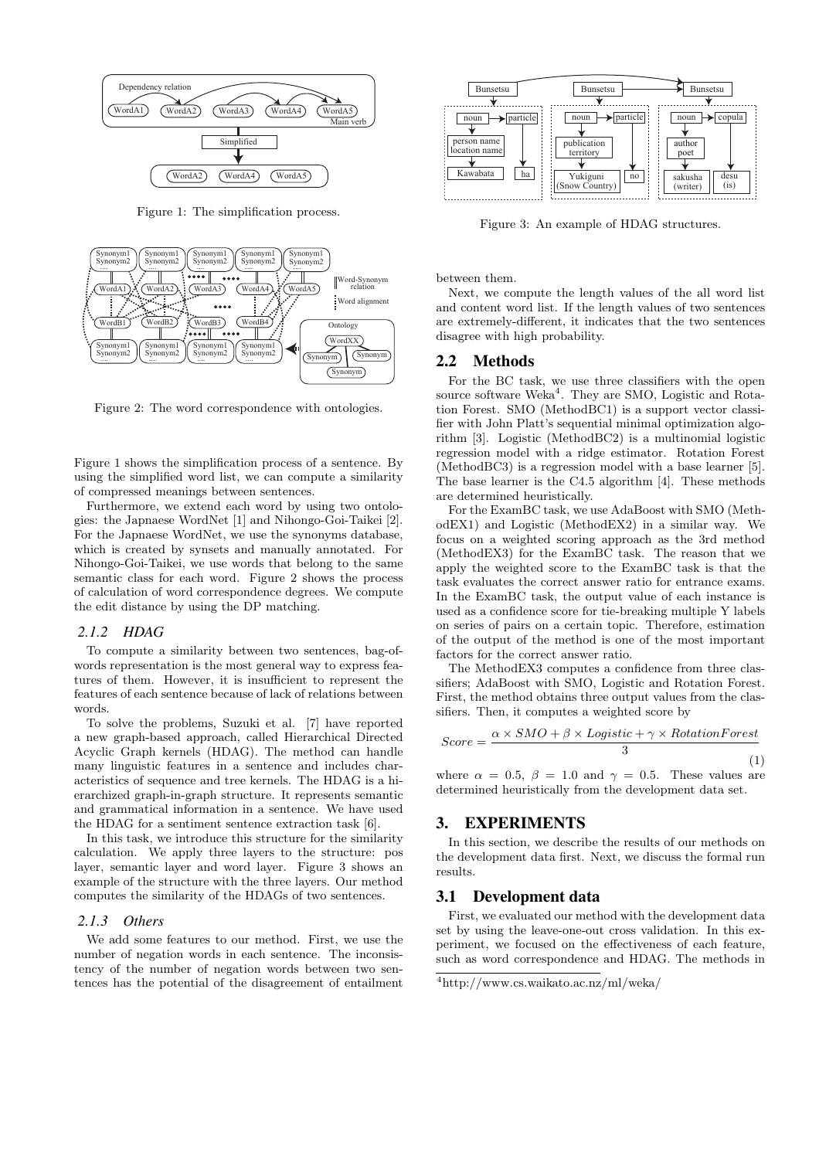

Figure 1: The simplification process.



Figure 2: The word correspondence with ontologies.

Figure 1 shows the simplification process of a sentence. By using the simplified word list, we can compute a similarity of compressed meanings between sentences.

Furthermore, we extend each word by using two ontologies: the Japnaese WordNet [1] and Nihongo-Goi-Taikei [2]. For the Japnaese WordNet, we use the synonyms database, which is created by synsets and manually annotated. For Nihongo-Goi-Taikei, we use words that belong to the same semantic class for each word. Figure 2 shows the process of calculation of word correspondence degrees. We compute the edit distance by using the DP matching.

#### *2.1.2 HDAG*

To compute a similarity between two sentences, bag-ofwords representation is the most general way to express features of them. However, it is insufficient to represent the features of each sentence because of lack of relations between words.

To solve the problems, Suzuki et al. [7] have reported a new graph-based approach, called Hierarchical Directed Acyclic Graph kernels (HDAG). The method can handle many linguistic features in a sentence and includes characteristics of sequence and tree kernels. The HDAG is a hierarchized graph-in-graph structure. It represents semantic and grammatical information in a sentence. We have used the HDAG for a sentiment sentence extraction task [6].

In this task, we introduce this structure for the similarity calculation. We apply three layers to the structure: pos layer, semantic layer and word layer. Figure 3 shows an example of the structure with the three layers. Our method computes the similarity of the HDAGs of two sentences.

#### *2.1.3 Others*

We add some features to our method. First, we use the number of negation words in each sentence. The inconsistency of the number of negation words between two sentences has the potential of the disagreement of entailment



Figure 3: An example of HDAG structures.

between them.

Next, we compute the length values of the all word list and content word list. If the length values of two sentences are extremely-different, it indicates that the two sentences disagree with high probability.

## 2.2 Methods

For the BC task, we use three classifiers with the open source software Weka<sup>4</sup>. They are SMO, Logistic and Rotation Forest. SMO (MethodBC1) is a support vector classifier with John Platt's sequential minimal optimization algorithm [3]. Logistic (MethodBC2) is a multinomial logistic regression model with a ridge estimator. Rotation Forest (MethodBC3) is a regression model with a base learner [5]. The base learner is the C4.5 algorithm [4]. These methods are determined heuristically.

For the ExamBC task, we use AdaBoost with SMO (MethodEX1) and Logistic (MethodEX2) in a similar way. We focus on a weighted scoring approach as the 3rd method (MethodEX3) for the ExamBC task. The reason that we apply the weighted score to the ExamBC task is that the task evaluates the correct answer ratio for entrance exams. In the ExamBC task, the output value of each instance is used as a confidence score for tie-breaking multiple Y labels on series of pairs on a certain topic. Therefore, estimation of the output of the method is one of the most important factors for the correct answer ratio.

The MethodEX3 computes a confidence from three classifiers; AdaBoost with SMO, Logistic and Rotation Forest. First, the method obtains three output values from the classifiers. Then, it computes a weighted score by

$$
Score = \frac{\alpha \times SMO + \beta \times Logistic + \gamma \times RotationForest}{3}
$$
\n(1)

where  $\alpha = 0.5$ ,  $\beta = 1.0$  and  $\gamma = 0.5$ . These values are determined heuristically from the development data set.

## 3. EXPERIMENTS

In this section, we describe the results of our methods on the development data first. Next, we discuss the formal run results.

# 3.1 Development data

First, we evaluated our method with the development data set by using the leave-one-out cross validation. In this experiment, we focused on the effectiveness of each feature, such as word correspondence and HDAG. The methods in

<sup>4</sup>http://www.cs.waikato.ac.nz/ml/weka/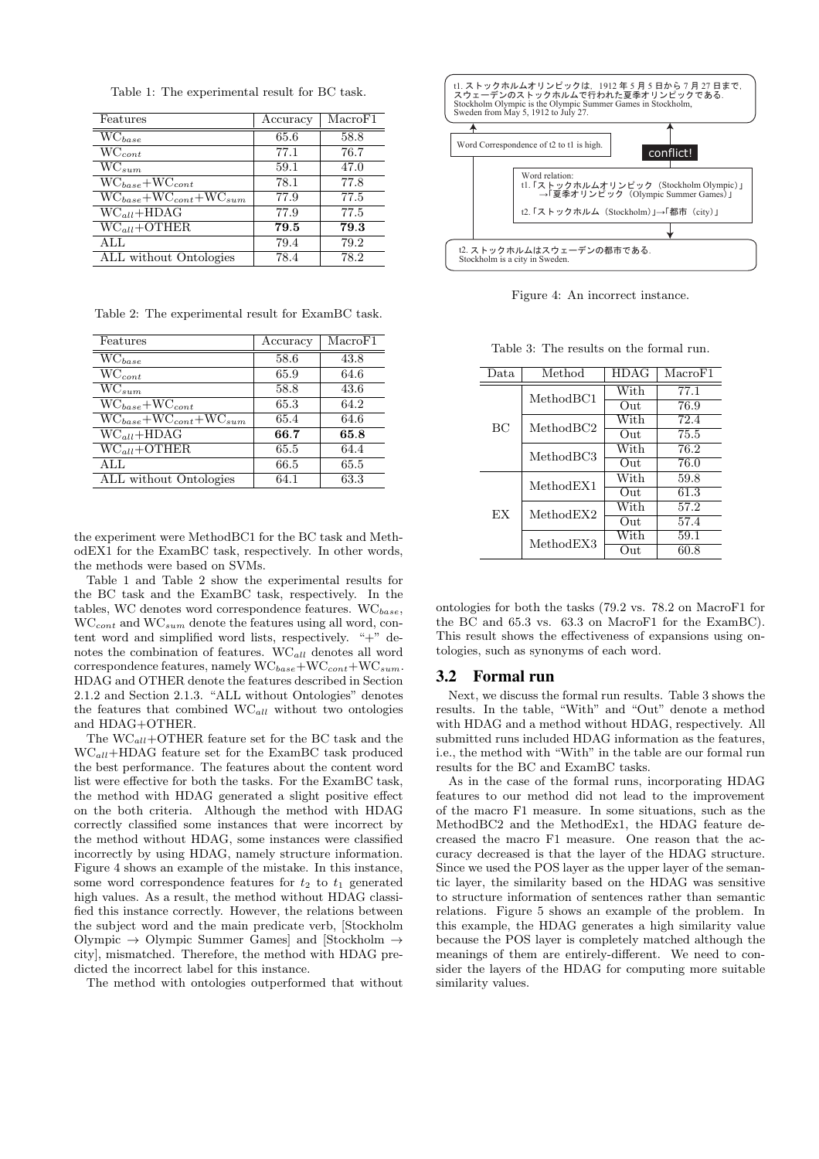| Features                                  | Accuracy | MacroF1 |
|-------------------------------------------|----------|---------|
| $\overline{WC_{base}}$                    | 65.6     | 58.8    |
| $\overline{WC_{cont}}$                    | 77.1     | 76.7    |
| $\overline{\text{WC}}_{sum}$              | 59.1     | 47.0    |
| $\overline{WC_{base}+WC_{cont}}$          | 78.1     | 77.8    |
| $\overline{WC_{base}+WC_{cont}+WC_{sum}}$ | 77.9     | 77.5    |
| $WC_{all} + HDAG$                         | 77.9     | 77.5    |
| $WC_{all} + OTHER$                        | 79.5     | 79.3    |
| ALL                                       | 79.4     | 79.2    |
| ALL without Ontologies                    | 78.4     | 78.2    |

Table 1: The experimental result for BC task.

Table 2: The experimental result for ExamBC task.

| Features                           | Accuracy | MacroF1 |
|------------------------------------|----------|---------|
| $\overline{WC}_{base}$             | 58.6     | 43.8    |
| $\overline{W}C_{cont}$             | 65.9     | 64.6    |
| $WC_{sum}$                         | 58.8     | 43.6    |
| $WC_{base} + WC_{cont}$            | 65.3     | 64.2    |
| $WC_{base} + WC_{cont} + WC_{sum}$ | 65.4     | 64.6    |
| $\overline{WC_{all} + HDAG}$       | 66.7     | 65.8    |
| $WC_{all} + OTHER$                 | 65.5     | 64.4    |
| ALL                                | 66.5     | 65.5    |
| ALL without Ontologies             | 64.1     | 63.3    |
|                                    |          |         |

the experiment were MethodBC1 for the BC task and MethodEX1 for the ExamBC task, respectively. In other words, the methods were based on SVMs.

Table 1 and Table 2 show the experimental results for the BC task and the ExamBC task, respectively. In the tables, WC denotes word correspondence features. WC*base*, WC*cont* and WC*sum* denote the features using all word, content word and simplified word lists, respectively. "+" denotes the combination of features. WC*all* denotes all word correspondence features, namely WC*base*+WC*cont*+WC*sum*. HDAG and OTHER denote the features described in Section 2.1.2 and Section 2.1.3. "ALL without Ontologies" denotes the features that combined WC*all* without two ontologies and HDAG+OTHER.

The WC*all*+OTHER feature set for the BC task and the WC*all*+HDAG feature set for the ExamBC task produced the best performance. The features about the content word list were effective for both the tasks. For the ExamBC task, the method with HDAG generated a slight positive effect on the both criteria. Although the method with HDAG correctly classified some instances that were incorrect by the method without HDAG, some instances were classified incorrectly by using HDAG, namely structure information. Figure 4 shows an example of the mistake. In this instance, some word correspondence features for  $t_2$  to  $t_1$  generated high values. As a result, the method without HDAG classified this instance correctly. However, the relations between the subject word and the main predicate verb, [Stockholm Olympic *→* Olympic Summer Games] and [Stockholm *→* city], mismatched. Therefore, the method with HDAG predicted the incorrect label for this instance.

The method with ontologies outperformed that without



Figure 4: An incorrect instance.

Table 3: The results on the formal run.

| Data      | Method    | HDAG         | MacroF1 |
|-----------|-----------|--------------|---------|
| BC        | MethodBC1 | With         | 77.1    |
|           |           | Out          | 76.9    |
|           | MethodBC2 | With         | 72.4    |
|           |           | $_{\rm Out}$ | 75.5    |
|           | MethodBC3 | With         | 76.2    |
|           |           | Out          | 76.0    |
| <b>EX</b> | MethodEX1 | With         | 59.8    |
|           |           | $_{\rm Out}$ | 61.3    |
|           | MethodEX2 | With         | 57.2    |
|           |           | $_{\rm Out}$ | 57.4    |
|           | MethodEX3 | With         | 59.1    |
|           |           | Out          | 60.8    |

ontologies for both the tasks (79.2 vs. 78.2 on MacroF1 for the BC and 65.3 vs. 63.3 on MacroF1 for the ExamBC). This result shows the effectiveness of expansions using ontologies, such as synonyms of each word.

#### 3.2 Formal run

 $\equiv$ 

Next, we discuss the formal run results. Table 3 shows the results. In the table, "With" and "Out" denote a method with HDAG and a method without HDAG, respectively. All submitted runs included HDAG information as the features, i.e., the method with "With" in the table are our formal run results for the BC and ExamBC tasks.

As in the case of the formal runs, incorporating HDAG features to our method did not lead to the improvement of the macro F1 measure. In some situations, such as the MethodBC2 and the MethodEx1, the HDAG feature decreased the macro F1 measure. One reason that the accuracy decreased is that the layer of the HDAG structure. Since we used the POS layer as the upper layer of the semantic layer, the similarity based on the HDAG was sensitive to structure information of sentences rather than semantic relations. Figure 5 shows an example of the problem. In this example, the HDAG generates a high similarity value because the POS layer is completely matched although the meanings of them are entirely-different. We need to consider the layers of the HDAG for computing more suitable similarity values.